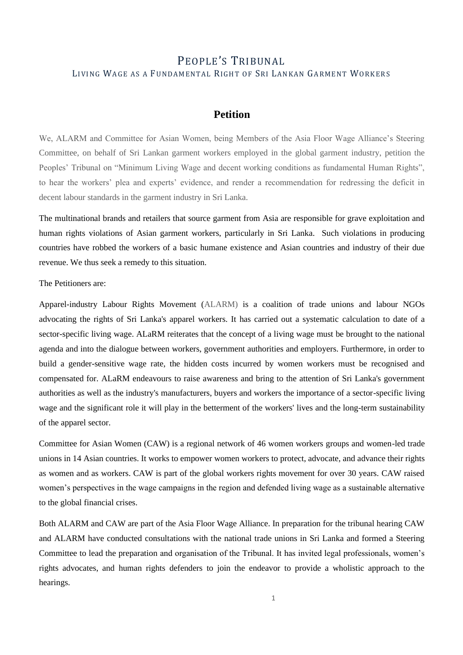# PEOPLE'S TRIBUNAL LIVING WAGE AS A FUNDAMENTAL RIGHT OF SRI LANKAN GARMENT WORKERS

## **Petition**

We, ALARM and Committee for Asian Women, being Members of the Asia Floor Wage Alliance's Steering Committee, on behalf of Sri Lankan garment workers employed in the global garment industry, petition the Peoples' Tribunal on "Minimum Living Wage and decent working conditions as fundamental Human Rights", to hear the workers' plea and experts' evidence, and render a recommendation for redressing the deficit in decent labour standards in the garment industry in Sri Lanka.

The multinational brands and retailers that source garment from Asia are responsible for grave exploitation and human rights violations of Asian garment workers, particularly in Sri Lanka. Such violations in producing countries have robbed the workers of a basic humane existence and Asian countries and industry of their due revenue. We thus seek a remedy to this situation.

The Petitioners are:

Apparel-industry Labour Rights Movement (ALARM) is a coalition of trade unions and labour NGOs advocating the rights of Sri Lanka's apparel workers. It has carried out a systematic calculation to date of a sector-specific living wage. ALaRM reiterates that the concept of a living wage must be brought to the national agenda and into the dialogue between workers, government authorities and employers. Furthermore, in order to build a gender-sensitive wage rate, the hidden costs incurred by women workers must be recognised and compensated for. ALaRM endeavours to raise awareness and bring to the attention of Sri Lanka's government authorities as well as the industry's manufacturers, buyers and workers the importance of a sector-specific living wage and the significant role it will play in the betterment of the workers' lives and the long-term sustainability of the apparel sector.

Committee for Asian Women (CAW) is a regional network of 46 women workers groups and women-led trade unions in 14 Asian countries. It works to empower women workers to protect, advocate, and advance their rights as women and as workers. CAW is part of the global workers rights movement for over 30 years. CAW raised women's perspectives in the wage campaigns in the region and defended living wage as a sustainable alternative to the global financial crises.

Both ALARM and CAW are part of the Asia Floor Wage Alliance. In preparation for the tribunal hearing CAW and ALARM have conducted consultations with the national trade unions in Sri Lanka and formed a Steering Committee to lead the preparation and organisation of the Tribunal. It has invited legal professionals, women's rights advocates, and human rights defenders to join the endeavor to provide a wholistic approach to the hearings.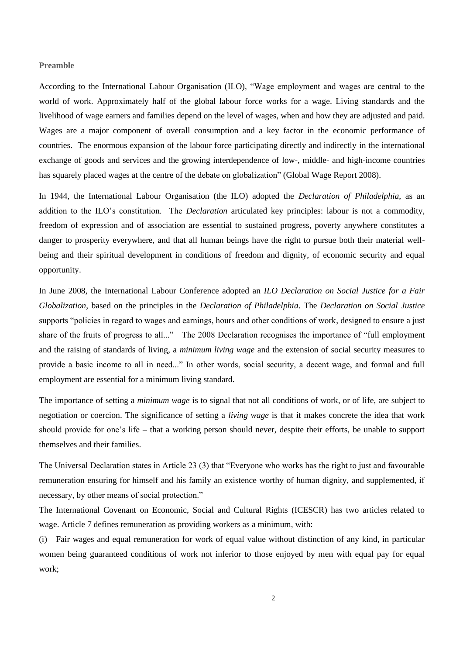#### **Preamble**

According to the International Labour Organisation (ILO), "Wage employment and wages are central to the world of work. Approximately half of the global labour force works for a wage. Living standards and the livelihood of wage earners and families depend on the level of wages, when and how they are adjusted and paid. Wages are a major component of overall consumption and a key factor in the economic performance of countries. The enormous expansion of the labour force participating directly and indirectly in the international exchange of goods and services and the growing interdependence of low-, middle- and high-income countries has squarely placed wages at the centre of the debate on globalization" (Global Wage Report 2008).

In 1944, the International Labour Organisation (the ILO) adopted the *Declaration of Philadelphia*, as an addition to the ILO's constitution. The *Declaration* articulated key principles: labour is not a commodity, freedom of expression and of association are essential to sustained progress, poverty anywhere constitutes a danger to prosperity everywhere, and that all human beings have the right to pursue both their material wellbeing and their spiritual development in conditions of freedom and dignity, of economic security and equal opportunity.

In June 2008, the International Labour Conference adopted an *ILO Declaration on Social Justice for a Fair Globalization*, based on the principles in the *Declaration of Philadelphia*. The *Declaration on Social Justice* supports "policies in regard to wages and earnings, hours and other conditions of work, designed to ensure a just share of the fruits of progress to all..." The 2008 Declaration recognises the importance of "full employment and the raising of standards of living, a *minimum living wage* and the extension of social security measures to provide a basic income to all in need..." In other words, social security, a decent wage, and formal and full employment are essential for a minimum living standard.

The importance of setting a *minimum wage* is to signal that not all conditions of work, or of life, are subject to negotiation or coercion. The significance of setting a *living wage* is that it makes concrete the idea that work should provide for one's life – that a working person should never, despite their efforts, be unable to support themselves and their families.

The Universal Declaration states in Article 23 (3) that "Everyone who works has the right to just and favourable remuneration ensuring for himself and his family an existence worthy of human dignity, and supplemented, if necessary, by other means of social protection."

The International Covenant on Economic, Social and Cultural Rights (ICESCR) has two articles related to wage. Article 7 defines remuneration as providing workers as a minimum, with:

(i) Fair wages and equal remuneration for work of equal value without distinction of any kind, in particular women being guaranteed conditions of work not inferior to those enjoyed by men with equal pay for equal work;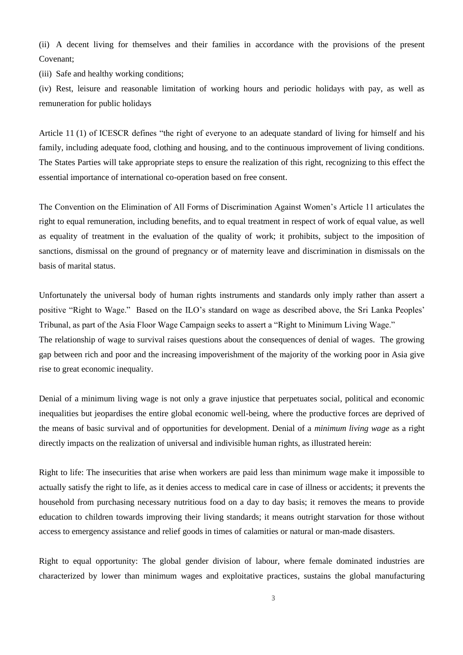(ii) A decent living for themselves and their families in accordance with the provisions of the present Covenant;

(iii) Safe and healthy working conditions;

(iv) Rest, leisure and reasonable limitation of working hours and periodic holidays with pay, as well as remuneration for public holidays

Article 11 (1) of ICESCR defines "the right of everyone to an adequate standard of living for himself and his family, including adequate food, clothing and housing, and to the continuous improvement of living conditions. The States Parties will take appropriate steps to ensure the realization of this right, recognizing to this effect the essential importance of international co-operation based on free consent.

The Convention on the Elimination of All Forms of Discrimination Against Women's Article 11 articulates the right to equal remuneration, including benefits, and to equal treatment in respect of work of equal value, as well as equality of treatment in the evaluation of the quality of work; it prohibits, subject to the imposition of sanctions, dismissal on the ground of pregnancy or of maternity leave and discrimination in dismissals on the basis of marital status.

Unfortunately the universal body of human rights instruments and standards only imply rather than assert a positive "Right to Wage." Based on the ILO's standard on wage as described above, the Sri Lanka Peoples' Tribunal, as part of the Asia Floor Wage Campaign seeks to assert a "Right to Minimum Living Wage." The relationship of wage to survival raises questions about the consequences of denial of wages. The growing gap between rich and poor and the increasing impoverishment of the majority of the working poor in Asia give rise to great economic inequality.

Denial of a minimum living wage is not only a grave injustice that perpetuates social, political and economic inequalities but jeopardises the entire global economic well-being, where the productive forces are deprived of the means of basic survival and of opportunities for development. Denial of a *minimum living wage* as a right directly impacts on the realization of universal and indivisible human rights, as illustrated herein:

Right to life: The insecurities that arise when workers are paid less than minimum wage make it impossible to actually satisfy the right to life, as it denies access to medical care in case of illness or accidents; it prevents the household from purchasing necessary nutritious food on a day to day basis; it removes the means to provide education to children towards improving their living standards; it means outright starvation for those without access to emergency assistance and relief goods in times of calamities or natural or man-made disasters.

Right to equal opportunity: The global gender division of labour, where female dominated industries are characterized by lower than minimum wages and exploitative practices, sustains the global manufacturing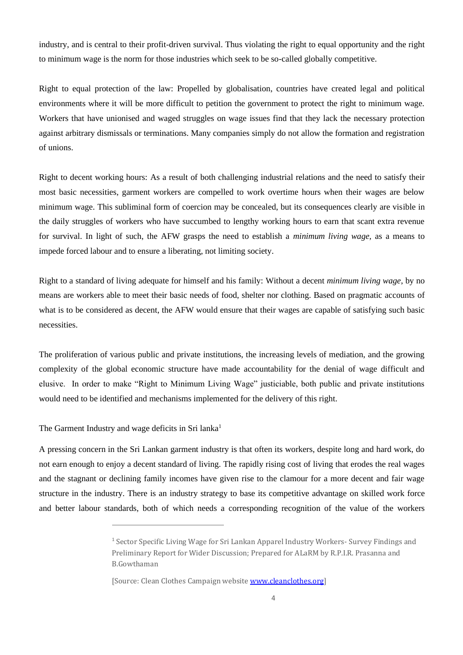industry, and is central to their profit-driven survival. Thus violating the right to equal opportunity and the right to minimum wage is the norm for those industries which seek to be so-called globally competitive.

Right to equal protection of the law: Propelled by globalisation, countries have created legal and political environments where it will be more difficult to petition the government to protect the right to minimum wage. Workers that have unionised and waged struggles on wage issues find that they lack the necessary protection against arbitrary dismissals or terminations. Many companies simply do not allow the formation and registration of unions.

Right to decent working hours: As a result of both challenging industrial relations and the need to satisfy their most basic necessities, garment workers are compelled to work overtime hours when their wages are below minimum wage. This subliminal form of coercion may be concealed, but its consequences clearly are visible in the daily struggles of workers who have succumbed to lengthy working hours to earn that scant extra revenue for survival. In light of such, the AFW grasps the need to establish a *minimum living wage,* as a means to impede forced labour and to ensure a liberating, not limiting society.

Right to a standard of living adequate for himself and his family: Without a decent *minimum living wage*, by no means are workers able to meet their basic needs of food, shelter nor clothing. Based on pragmatic accounts of what is to be considered as decent, the AFW would ensure that their wages are capable of satisfying such basic necessities.

The proliferation of various public and private institutions, the increasing levels of mediation, and the growing complexity of the global economic structure have made accountability for the denial of wage difficult and elusive. In order to make "Right to Minimum Living Wage" justiciable, both public and private institutions would need to be identified and mechanisms implemented for the delivery of this right.

The Garment Industry and wage deficits in Sri lanka<sup>1</sup>

A pressing concern in the Sri Lankan garment industry is that often its workers, despite long and hard work, do not earn enough to enjoy a decent standard of living. The rapidly rising cost of living that erodes the real wages and the stagnant or declining family incomes have given rise to the clamour for a more decent and fair wage structure in the industry. There is an industry strategy to base its competitive advantage on skilled work force and better labour standards, both of which needs a corresponding recognition of the value of the workers

<sup>1</sup> Sector Specific Living Wage for Sri Lankan Apparel Industry Workers- Survey Findings and Preliminary Report for Wider Discussion; Prepared for ALaRM by R.P.I.R. Prasanna and B.Gowthaman

<sup>[</sup>Source: Clean Clothes Campaign website [www.cleanclothes.org\]](http://www.cleanclothes.org/)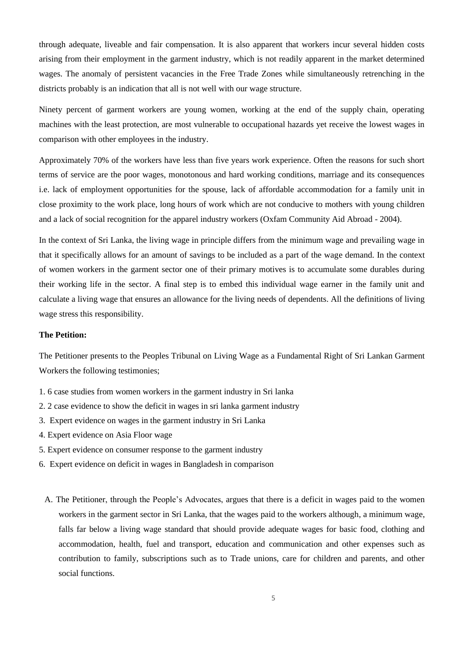through adequate, liveable and fair compensation. It is also apparent that workers incur several hidden costs arising from their employment in the garment industry, which is not readily apparent in the market determined wages. The anomaly of persistent vacancies in the Free Trade Zones while simultaneously retrenching in the districts probably is an indication that all is not well with our wage structure.

Ninety percent of garment workers are young women, working at the end of the supply chain, operating machines with the least protection, are most vulnerable to occupational hazards yet receive the lowest wages in comparison with other employees in the industry.

Approximately 70% of the workers have less than five years work experience. Often the reasons for such short terms of service are the poor wages, monotonous and hard working conditions, marriage and its consequences i.e. lack of employment opportunities for the spouse, lack of affordable accommodation for a family unit in close proximity to the work place, long hours of work which are not conducive to mothers with young children and a lack of social recognition for the apparel industry workers (Oxfam Community Aid Abroad - 2004).

In the context of Sri Lanka, the living wage in principle differs from the minimum wage and prevailing wage in that it specifically allows for an amount of savings to be included as a part of the wage demand. In the context of women workers in the garment sector one of their primary motives is to accumulate some durables during their working life in the sector. A final step is to embed this individual wage earner in the family unit and calculate a living wage that ensures an allowance for the living needs of dependents. All the definitions of living wage stress this responsibility.

### **The Petition:**

The Petitioner presents to the Peoples Tribunal on Living Wage as a Fundamental Right of Sri Lankan Garment Workers the following testimonies;

- 1. 6 case studies from women workers in the garment industry in Sri lanka
- 2. 2 case evidence to show the deficit in wages in sri lanka garment industry
- 3. Expert evidence on wages in the garment industry in Sri Lanka
- 4. Expert evidence on Asia Floor wage
- 5. Expert evidence on consumer response to the garment industry
- 6. Expert evidence on deficit in wages in Bangladesh in comparison
	- A. The Petitioner, through the People's Advocates, argues that there is a deficit in wages paid to the women workers in the garment sector in Sri Lanka, that the wages paid to the workers although, a minimum wage, falls far below a living wage standard that should provide adequate wages for basic food, clothing and accommodation, health, fuel and transport, education and communication and other expenses such as contribution to family, subscriptions such as to Trade unions, care for children and parents, and other social functions.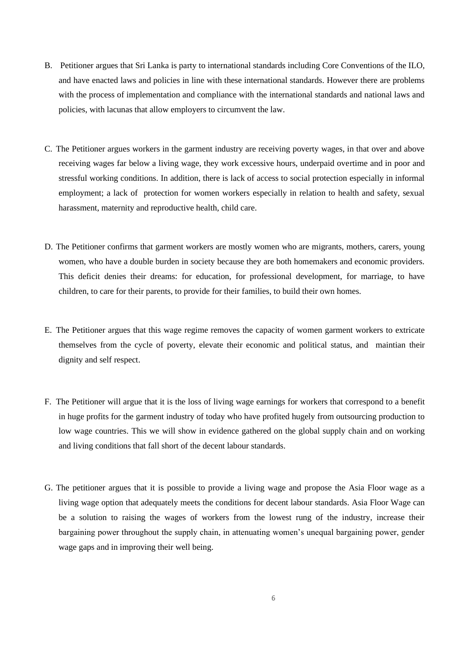- B. Petitioner argues that Sri Lanka is party to international standards including Core Conventions of the ILO, and have enacted laws and policies in line with these international standards. However there are problems with the process of implementation and compliance with the international standards and national laws and policies, with lacunas that allow employers to circumvent the law.
- C. The Petitioner argues workers in the garment industry are receiving poverty wages, in that over and above receiving wages far below a living wage, they work excessive hours, underpaid overtime and in poor and stressful working conditions. In addition, there is lack of access to social protection especially in informal employment; a lack of protection for women workers especially in relation to health and safety, sexual harassment, maternity and reproductive health, child care.
- D. The Petitioner confirms that garment workers are mostly women who are migrants, mothers, carers, young women, who have a double burden in society because they are both homemakers and economic providers. This deficit denies their dreams: for education, for professional development, for marriage, to have children, to care for their parents, to provide for their families, to build their own homes.
- E. The Petitioner argues that this wage regime removes the capacity of women garment workers to extricate themselves from the cycle of poverty, elevate their economic and political status, and maintian their dignity and self respect.
- F. The Petitioner will argue that it is the loss of living wage earnings for workers that correspond to a benefit in huge profits for the garment industry of today who have profited hugely from outsourcing production to low wage countries. This we will show in evidence gathered on the global supply chain and on working and living conditions that fall short of the decent labour standards.
- G. The petitioner argues that it is possible to provide a living wage and propose the Asia Floor wage as a living wage option that adequately meets the conditions for decent labour standards. Asia Floor Wage can be a solution to raising the wages of workers from the lowest rung of the industry, increase their bargaining power throughout the supply chain, in attenuating women's unequal bargaining power, gender wage gaps and in improving their well being.